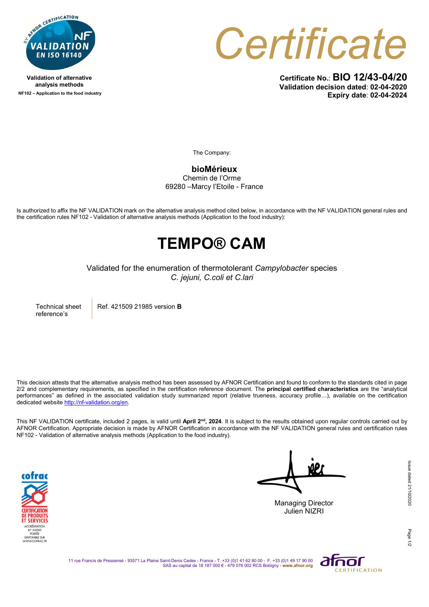

Validation of alternative analysis methods NF102 – Application to the food industry **Certificate** 

Certificate No.: BIO 12/43-04/20 Validation decision dated: 02-04-2020 Expiry date: 02-04-2024

The Company:

bioMérieux

Chemin de l'Orme 69280 –Marcy l'Etoile - France

Is authorized to affix the NF VALIDATION mark on the alternative analysis method cited below, in accordance with the NF VALIDATION general rules and the certification rules NF102 - Validation of alternative analysis methods (Application to the food industry):

## TEMPO® CAM

Validated for the enumeration of thermotolerant Campylobacter species C. jejuni, C.coli et C.lari

Technical sheet reference's

Ref. 421509 21985 version B

This decision attests that the alternative analysis method has been assessed by AFNOR Certification and found to conform to the standards cited in page  $2/2$  and complementary requirements, as specified in the certification reference document. The **principal certified characteristics** are the "analytical performances" as defined in the associated validation study summarized report (relative trueness, accuracy profile…), available on the certification dedicated website http://nf-validation.org/en.

This NF VALIDATION certificate, included 2 pages, is valid until April 2<sup>nd</sup>, 2024. It is subject to the results obtained upon regular controls carried out by AFNOR Certification. Appropriate decision is made by AFNOR Certification in accordance with the NF VALIDATION general rules and certification rules NF102 - Validation of alternative analysis methods (Application to the food industry).



Managing Director

Julien NIZRI

Page

11 rue Francis de Pressensé - 93571 La Plaine Saint-Denis Cedex - France - T. +33 (0)1 41 62 80 00 - F. +33 (0)1 49 17 90 00<br>SAS au capital de 18 187 000 € - 479 076 002 RCS Bobigny - www.afnor.org